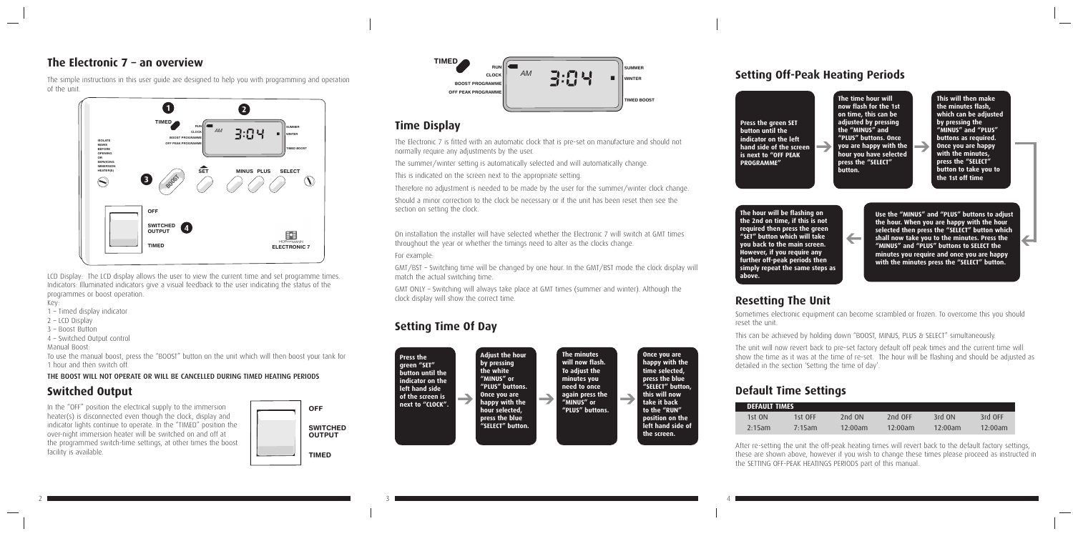The simple instructions in this user guide are designed to help you with programming and operation of the unit.

LCD Display: The LCD display allows the user to view the current time and set programme times. Indicators: Illuminated indicators give a visual feedback to the user indicating the status of the programmes or boost operation.

Key:

- 1 Timed display indicator
- 2 LCD Display
- 3 Boost Button
- 4 Switched Output control

Manual Boost:

To use the manual boost, press the "BOOST" button on the unit which will then boost your tank for 1 hour and then switch off.  $\frac{1}{2}$ 

The Electronic 7 is fitted with an automatic clock that is pre-set on manufacture and should not<br>normally require any adjustments by the user. normally require any adjustments by the user.

#### THE BOOST WILL NOT OPERATE OR WILL BE CANCELLED DURING TIMED HEATING PERIODS

### **Switched Output**

Should a minor correction to the clock be necessary or if the unit has been reset then see the section on setting the clock.

On installation the installer will have selected whether the Electronic 7 will switch at GMT times throughout the year or whether the timings need to alter as the clocks change.

In the "OFF" position the electrical supply to the immersion heater(s) is disconnected even though the clock, display and indicator lights continue to operate. In the "TIMED" position the over-night immersion heater will be switched on and off at the programmed switch-time settings, at other times the boost facility is available.

GMT ONLY – Switching will always take place at GMT times (summer and winter). Although the start strict strictling this strictly caller

## **Time Display**

The summer/winter setting is automatically selected and will automatically change.

This is indicated on the screen next to the appropriate setting.

Therefore no adjustment is needed to be made by the user for the summer/winter clock change.

For example:

GMT/BST – Switching time will be changed by one hour. In the GMT/BST mode the clock display will match the actual switching time.

# **Setting Time Of Day**

### **Setting Off-Peak Heating Periods**

### **Resetting The Unit**

Sometimes electronic equipment can become scrambled or frozen. To overcome this you should reset the unit.

This can be achieved by holding down "BOOST, MINUS, PLUS & SELECT" simultaneously.

The unit will now revert back to pre-set factory default off peak times and the current time will show the time as it was at the time of re-set. The hour will be flashing and should be adjusted as detailed in the section 'Setting the time of day'.



### **The Electronic 7 – an overview**





2 and  $\sim$  3 and  $\sim$  4  $\sim$  4  $\sim$  4  $\sim$  4  $\sim$  4  $\sim$  4  $\sim$  4  $\sim$  4  $\sim$  4  $\sim$ 



**Press the green SET button until the indicator on the left hand side of the screen is next to "OFF PEAK PROGRAMME"**

**The time hour will now flash for the 1st on time, this can be adjusted by pressing the "MINUS" and "PLUS" buttons. Once you are happy with the selected hour you have selected press the "SELECT" button.**

**This will then make the minutes flash, which can be adjusted by pressing the "MINUS" and "PLUS" buttons as required. Once you are happy with the minutes, press the "SELECT" button to take you to the 1st off time**

**Use the "MINUS" and "PLUS" buttons to adjust the hour. When you are happy with the hour selected then press the "SELECT" button which**  shall now take you to the minutes. Press the **"MINUS" and "PLUS" buttons to SELECT the minutes you require and once you are happy with the minutes press the "SELECT" button.**

**The hour will be flashing on the 2nd on time, if this is not required then press the green "SET" button which will take you back to the main screen. However, if you require any further off-peak periods then simply repeat the same steps as above.**

### **Default Time Settings**

| <b>DEFAULT TIMES</b> |           |          |         |            |            |
|----------------------|-----------|----------|---------|------------|------------|
| 1st ON               | 1st OFF   | 2nd $ON$ | 2nd OFF | 3rd ON     | 3rd OFF    |
| $2:15$ am            | $7:15$ am | 12:00am  | 12.00am | $12:00$ am | $12:00$ am |

After re-setting the unit the off-peak heating times will revert back to the default factory settings, these are shown above, however if you wish to change these times please proceed as instructed in the SETTING OFF-PEAK HEATINGS PERIODS part of this manual.